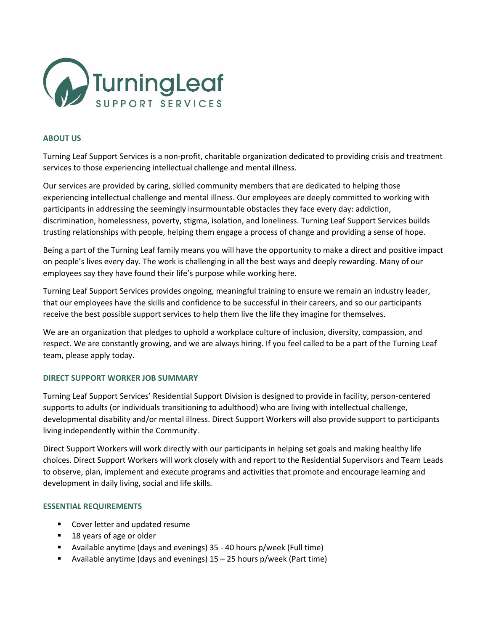

## **ABOUT US**

Turning Leaf Support Services is a non-profit, charitable organization dedicated to providing crisis and treatment services to those experiencing intellectual challenge and mental illness.

Our services are provided by caring, skilled community members that are dedicated to helping those experiencing intellectual challenge and mental illness. Our employees are deeply committed to working with participants in addressing the seemingly insurmountable obstacles they face every day: addiction, discrimination, homelessness, poverty, stigma, isolation, and loneliness. Turning Leaf Support Services builds trusting relationships with people, helping them engage a process of change and providing a sense of hope.

Being a part of the Turning Leaf family means you will have the opportunity to make a direct and positive impact on people's lives every day. The work is challenging in all the best ways and deeply rewarding. Many of our employees say they have found their life's purpose while working here.

Turning Leaf Support Services provides ongoing, meaningful training to ensure we remain an industry leader, that our employees have the skills and confidence to be successful in their careers, and so our participants receive the best possible support services to help them live the life they imagine for themselves.

We are an organization that pledges to uphold a workplace culture of inclusion, diversity, compassion, and respect. We are constantly growing, and we are always hiring. If you feel called to be a part of the Turning Leaf team, please apply today.

## **DIRECT SUPPORT WORKER JOB SUMMARY**

Turning Leaf Support Services' Residential Support Division is designed to provide in facility, person-centered supports to adults (or individuals transitioning to adulthood) who are living with intellectual challenge, developmental disability and/or mental illness. Direct Support Workers will also provide support to participants living independently within the Community.

Direct Support Workers will work directly with our participants in helping set goals and making healthy life choices. Direct Support Workers will work closely with and report to the Residential Supervisors and Team Leads to observe, plan, implement and execute programs and activities that promote and encourage learning and development in daily living, social and life skills.

#### **ESSENTIAL REQUIREMENTS**

- Cover letter and updated resume
- 18 years of age or older
- Available anytime (days and evenings) 35 40 hours p/week (Full time)
- Available anytime (days and evenings) 15 25 hours p/week (Part time)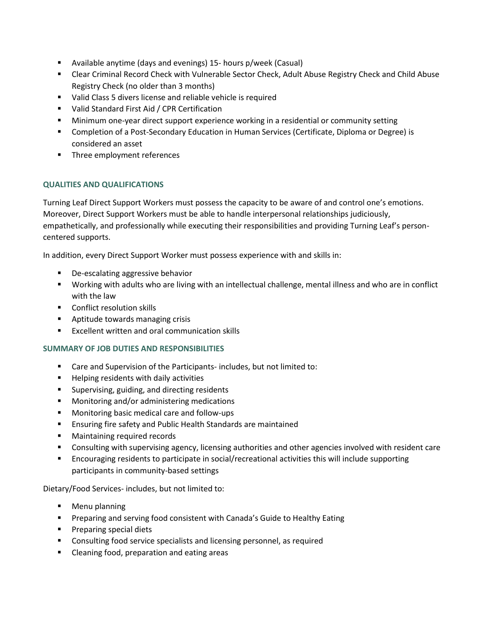- Available anytime (days and evenings) 15- hours p/week (Casual)
- Clear Criminal Record Check with Vulnerable Sector Check, Adult Abuse Registry Check and Child Abuse Registry Check (no older than 3 months)
- Valid Class 5 divers license and reliable vehicle is required
- Valid Standard First Aid / CPR Certification
- **■** Minimum one-year direct support experience working in a residential or community setting
- Completion of a Post-Secondary Education in Human Services (Certificate, Diploma or Degree) is considered an asset
- Three employment references

# **QUALITIES AND QUALIFICATIONS**

Turning Leaf Direct Support Workers must possess the capacity to be aware of and control one's emotions. Moreover, Direct Support Workers must be able to handle interpersonal relationships judiciously, empathetically, and professionally while executing their responsibilities and providing Turning Leaf's personcentered supports.

In addition, every Direct Support Worker must possess experience with and skills in:

- De-escalating aggressive behavior
- Working with adults who are living with an intellectual challenge, mental illness and who are in conflict with the law
- Conflict resolution skills
- Aptitude towards managing crisis
- Excellent written and oral communication skills

## **SUMMARY OF JOB DUTIES AND RESPONSIBILITIES**

- Care and Supervision of the Participants- includes, but not limited to:
- Helping residents with daily activities
- Supervising, guiding, and directing residents
- Monitoring and/or administering medications
- Monitoring basic medical care and follow-ups
- Ensuring fire safety and Public Health Standards are maintained
- Maintaining required records
- Consulting with supervising agency, licensing authorities and other agencies involved with resident care
- Encouraging residents to participate in social/recreational activities this will include supporting participants in community-based settings

Dietary/Food Services- includes, but not limited to:

- Menu planning
- Preparing and serving food consistent with Canada's Guide to Healthy Eating
- Preparing special diets
- Consulting food service specialists and licensing personnel, as required
- Cleaning food, preparation and eating areas